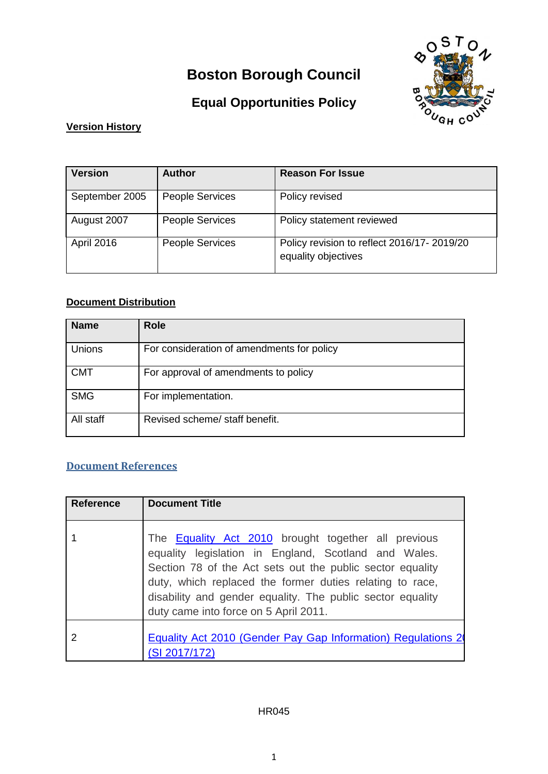# **Boston Borough Council**



# **Equal Opportunities Policy**

#### **Version History**

| <b>Version</b>    | <b>Author</b>          | <b>Reason For Issue</b>                                           |
|-------------------|------------------------|-------------------------------------------------------------------|
| September 2005    | <b>People Services</b> | Policy revised                                                    |
| August 2007       | <b>People Services</b> | Policy statement reviewed                                         |
| <b>April 2016</b> | <b>People Services</b> | Policy revision to reflect 2016/17-2019/20<br>equality objectives |

## **Document Distribution**

| <b>Name</b> | <b>Role</b>                                |
|-------------|--------------------------------------------|
| Unions      | For consideration of amendments for policy |
| <b>CMT</b>  | For approval of amendments to policy       |
| <b>SMG</b>  | For implementation.                        |
| All staff   | Revised scheme/ staff benefit.             |

### **Document References**

| <b>Reference</b> | <b>Document Title</b>                                                                                                                                                                                                                                                                                                                              |
|------------------|----------------------------------------------------------------------------------------------------------------------------------------------------------------------------------------------------------------------------------------------------------------------------------------------------------------------------------------------------|
|                  | The <b>Equality Act 2010</b> brought together all previous<br>equality legislation in England, Scotland and Wales.<br>Section 78 of the Act sets out the public sector equality<br>duty, which replaced the former duties relating to race,<br>disability and gender equality. The public sector equality<br>duty came into force on 5 April 2011. |
|                  | Equality Act 2010 (Gender Pay Gap Information) Regulations 2<br>(SI 2017/172)                                                                                                                                                                                                                                                                      |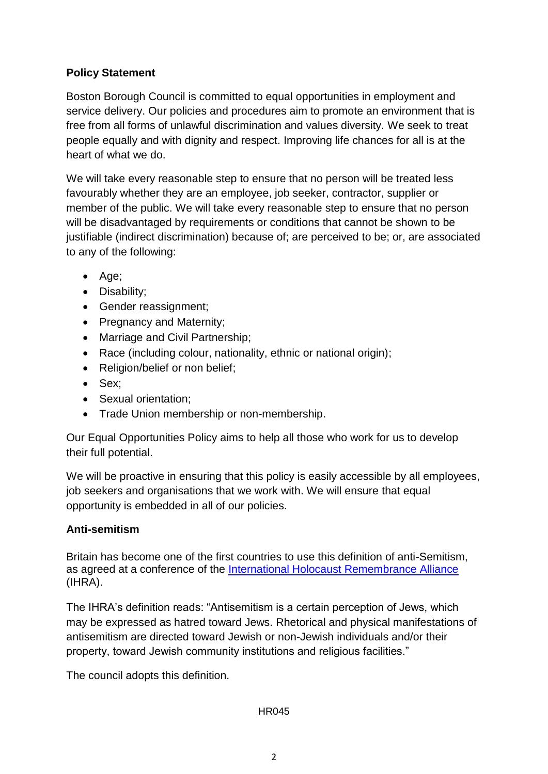#### **Policy Statement**

Boston Borough Council is committed to equal opportunities in employment and service delivery. Our policies and procedures aim to promote an environment that is free from all forms of unlawful discrimination and values diversity. We seek to treat people equally and with dignity and respect. Improving life chances for all is at the heart of what we do.

We will take every reasonable step to ensure that no person will be treated less favourably whether they are an employee, job seeker, contractor, supplier or member of the public. We will take every reasonable step to ensure that no person will be disadvantaged by requirements or conditions that cannot be shown to be justifiable (indirect discrimination) because of: are perceived to be; or, are associated to any of the following:

- Age;
- Disability:
- Gender reassignment;
- Pregnancy and Maternity;
- Marriage and Civil Partnership;
- Race (including colour, nationality, ethnic or national origin);
- Religion/belief or non belief;
- Sex:
- Sexual orientation:
- Trade Union membership or non-membership.

Our Equal Opportunities Policy aims to help all those who work for us to develop their full potential.

We will be proactive in ensuring that this policy is easily accessible by all employees, job seekers and organisations that we work with. We will ensure that equal opportunity is embedded in all of our policies.

#### **Anti-semitism**

Britain has become one of the first countries to use this definition of anti-Semitism, as agreed at a conference of the [International Holocaust Remembrance Alliance](https://www.holocaustremembrance.com/) (IHRA).

The IHRA's definition reads: "Antisemitism is a certain perception of Jews, which may be expressed as hatred toward Jews. Rhetorical and physical manifestations of antisemitism are directed toward Jewish or non-Jewish individuals and/or their property, toward Jewish community institutions and religious facilities."

The council adopts this definition.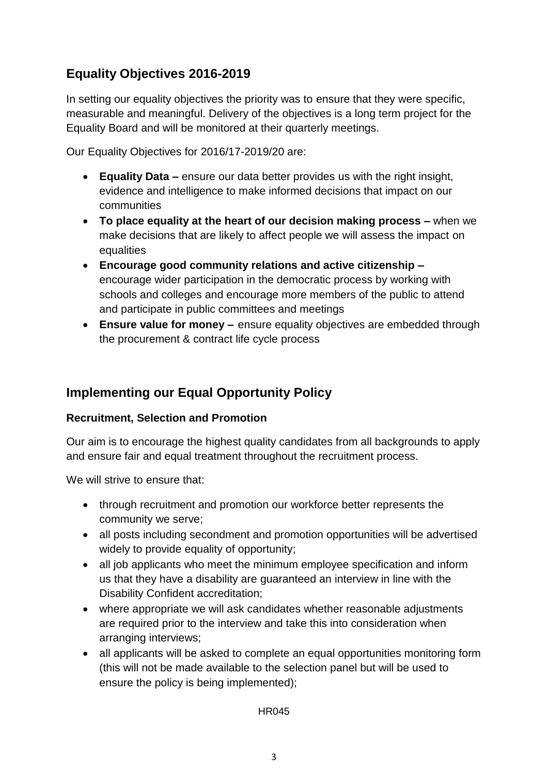## **Equality Objectives 2016-2019**

In setting our equality objectives the priority was to ensure that they were specific, measurable and meaningful. Delivery of the objectives is a long term project for the Equality Board and will be monitored at their quarterly meetings.

Our Equality Objectives for 2016/17-2019/20 are:

- **Equality Data –** ensure our data better provides us with the right insight, evidence and intelligence to make informed decisions that impact on our communities
- **To place equality at the heart of our decision making process –** when we make decisions that are likely to affect people we will assess the impact on equalities
- **Encourage good community relations and active citizenship –** encourage wider participation in the democratic process by working with schools and colleges and encourage more members of the public to attend and participate in public committees and meetings
- **Ensure value for money –** ensure equality objectives are embedded through the procurement & contract life cycle process

## **Implementing our Equal Opportunity Policy**

#### **Recruitment, Selection and Promotion**

Our aim is to encourage the highest quality candidates from all backgrounds to apply and ensure fair and equal treatment throughout the recruitment process.

We will strive to ensure that:

- through recruitment and promotion our workforce better represents the community we serve;
- all posts including secondment and promotion opportunities will be advertised widely to provide equality of opportunity;
- all job applicants who meet the minimum employee specification and inform us that they have a disability are guaranteed an interview in line with the Disability Confident accreditation;
- where appropriate we will ask candidates whether reasonable adjustments are required prior to the interview and take this into consideration when arranging interviews;
- all applicants will be asked to complete an equal opportunities monitoring form (this will not be made available to the selection panel but will be used to ensure the policy is being implemented);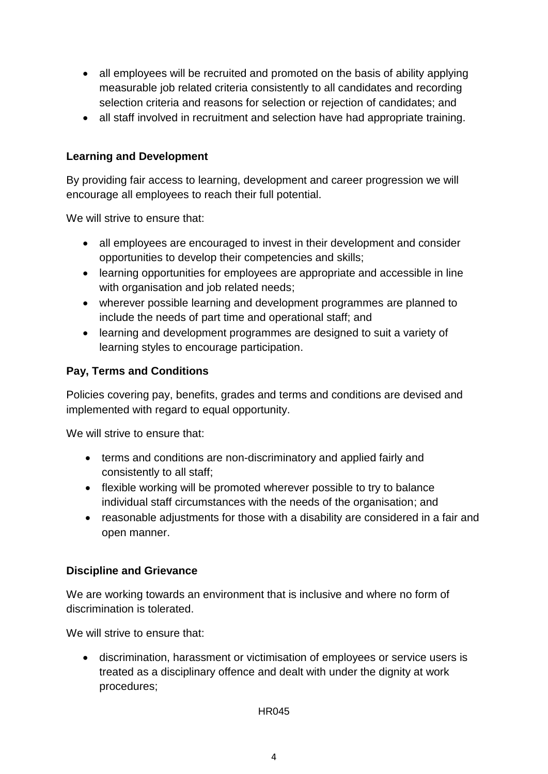- all employees will be recruited and promoted on the basis of ability applying measurable job related criteria consistently to all candidates and recording selection criteria and reasons for selection or rejection of candidates; and
- all staff involved in recruitment and selection have had appropriate training.

### **Learning and Development**

By providing fair access to learning, development and career progression we will encourage all employees to reach their full potential.

We will strive to ensure that:

- all employees are encouraged to invest in their development and consider opportunities to develop their competencies and skills;
- learning opportunities for employees are appropriate and accessible in line with organisation and job related needs;
- wherever possible learning and development programmes are planned to include the needs of part time and operational staff; and
- learning and development programmes are designed to suit a variety of learning styles to encourage participation.

#### **Pay, Terms and Conditions**

Policies covering pay, benefits, grades and terms and conditions are devised and implemented with regard to equal opportunity.

We will strive to ensure that:

- terms and conditions are non-discriminatory and applied fairly and consistently to all staff;
- flexible working will be promoted wherever possible to try to balance individual staff circumstances with the needs of the organisation; and
- reasonable adjustments for those with a disability are considered in a fair and open manner.

#### **Discipline and Grievance**

We are working towards an environment that is inclusive and where no form of discrimination is tolerated.

We will strive to ensure that:

 discrimination, harassment or victimisation of employees or service users is treated as a disciplinary offence and dealt with under the dignity at work procedures;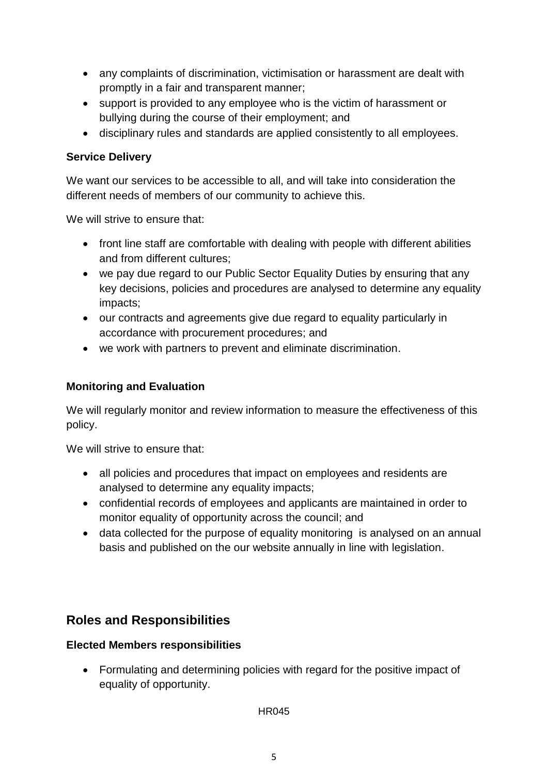- any complaints of discrimination, victimisation or harassment are dealt with promptly in a fair and transparent manner;
- support is provided to any employee who is the victim of harassment or bullying during the course of their employment; and
- disciplinary rules and standards are applied consistently to all employees.

#### **Service Delivery**

We want our services to be accessible to all, and will take into consideration the different needs of members of our community to achieve this.

We will strive to ensure that:

- front line staff are comfortable with dealing with people with different abilities and from different cultures;
- we pay due regard to our Public Sector Equality Duties by ensuring that any key decisions, policies and procedures are analysed to determine any equality impacts;
- our contracts and agreements give due regard to equality particularly in accordance with procurement procedures; and
- we work with partners to prevent and eliminate discrimination.

### **Monitoring and Evaluation**

We will regularly monitor and review information to measure the effectiveness of this policy.

We will strive to ensure that:

- all policies and procedures that impact on employees and residents are analysed to determine any equality impacts;
- confidential records of employees and applicants are maintained in order to monitor equality of opportunity across the council; and
- data collected for the purpose of equality monitoring is analysed on an annual basis and published on the our website annually in line with legislation.

## **Roles and Responsibilities**

#### **Elected Members responsibilities**

 Formulating and determining policies with regard for the positive impact of equality of opportunity.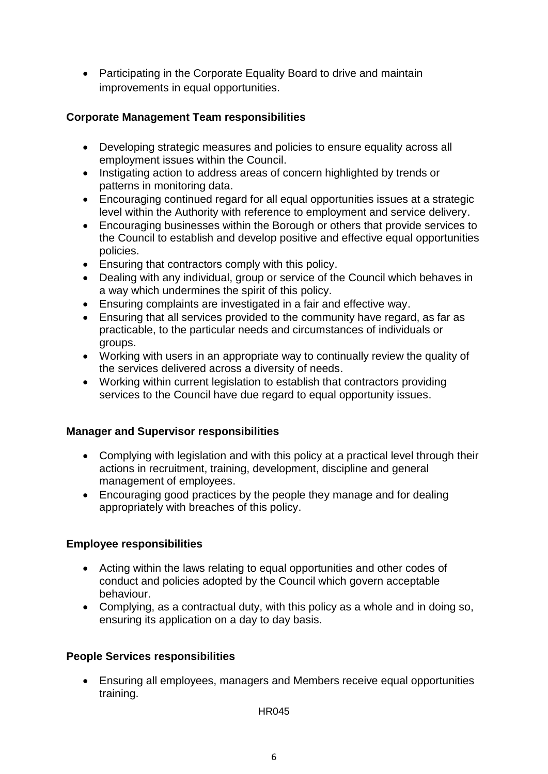• Participating in the Corporate Equality Board to drive and maintain improvements in equal opportunities.

#### **Corporate Management Team responsibilities**

- Developing strategic measures and policies to ensure equality across all employment issues within the Council.
- Instigating action to address areas of concern highlighted by trends or patterns in monitoring data.
- Encouraging continued regard for all equal opportunities issues at a strategic level within the Authority with reference to employment and service delivery.
- Encouraging businesses within the Borough or others that provide services to the Council to establish and develop positive and effective equal opportunities policies.
- Ensuring that contractors comply with this policy.
- Dealing with any individual, group or service of the Council which behaves in a way which undermines the spirit of this policy.
- Ensuring complaints are investigated in a fair and effective way.
- Ensuring that all services provided to the community have regard, as far as practicable, to the particular needs and circumstances of individuals or groups.
- Working with users in an appropriate way to continually review the quality of the services delivered across a diversity of needs.
- Working within current legislation to establish that contractors providing services to the Council have due regard to equal opportunity issues.

#### **Manager and Supervisor responsibilities**

- Complying with legislation and with this policy at a practical level through their actions in recruitment, training, development, discipline and general management of employees.
- Encouraging good practices by the people they manage and for dealing appropriately with breaches of this policy.

#### **Employee responsibilities**

- Acting within the laws relating to equal opportunities and other codes of conduct and policies adopted by the Council which govern acceptable behaviour.
- Complying, as a contractual duty, with this policy as a whole and in doing so, ensuring its application on a day to day basis.

#### **People Services responsibilities**

 Ensuring all employees, managers and Members receive equal opportunities training.